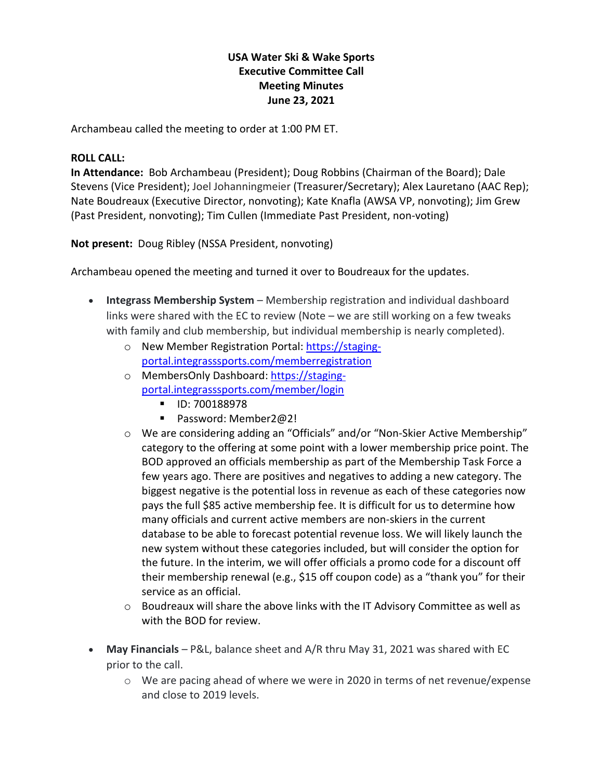# **USA Water Ski & Wake Sports Executive Committee Call Meeting Minutes June 23, 2021**

Archambeau called the meeting to order at 1:00 PM ET.

#### **ROLL CALL:**

**In Attendance:** Bob Archambeau (President); Doug Robbins (Chairman of the Board); Dale Stevens (Vice President); Joel Johanningmeier (Treasurer/Secretary); Alex Lauretano (AAC Rep); Nate Boudreaux (Executive Director, nonvoting); Kate Knafla (AWSA VP, nonvoting); Jim Grew (Past President, nonvoting); Tim Cullen (Immediate Past President, non-voting)

**Not present:** Doug Ribley (NSSA President, nonvoting)

Archambeau opened the meeting and turned it over to Boudreaux for the updates.

- **Integrass Membership System** Membership registration and individual dashboard links were shared with the EC to review (Note – we are still working on a few tweaks with family and club membership, but individual membership is nearly completed).
	- o New Member Registration Portal: [https://staging](https://staging-portal.integrasssports.com/memberregistration)[portal.integrasssports.com/memberregistration](https://staging-portal.integrasssports.com/memberregistration)
	- o MembersOnly Dashboard: [https://staging](https://staging-portal.integrasssports.com/member/login)[portal.integrasssports.com/member/login](https://staging-portal.integrasssports.com/member/login)
		- **ID: 700188978**
		- Password: Member2@2!
	- o We are considering adding an "Officials" and/or "Non-Skier Active Membership" category to the offering at some point with a lower membership price point. The BOD approved an officials membership as part of the Membership Task Force a few years ago. There are positives and negatives to adding a new category. The biggest negative is the potential loss in revenue as each of these categories now pays the full \$85 active membership fee. It is difficult for us to determine how many officials and current active members are non-skiers in the current database to be able to forecast potential revenue loss. We will likely launch the new system without these categories included, but will consider the option for the future. In the interim, we will offer officials a promo code for a discount off their membership renewal (e.g., \$15 off coupon code) as a "thank you" for their service as an official.
	- $\circ$  Boudreaux will share the above links with the IT Advisory Committee as well as with the BOD for review.
- **May Financials** P&L, balance sheet and A/R thru May 31, 2021 was shared with EC prior to the call.
	- o We are pacing ahead of where we were in 2020 in terms of net revenue/expense and close to 2019 levels.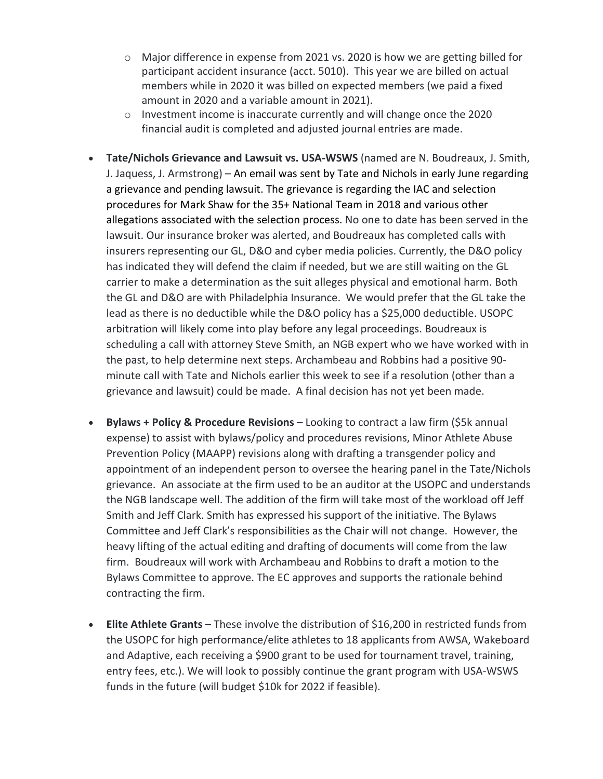- $\circ$  Major difference in expense from 2021 vs. 2020 is how we are getting billed for participant accident insurance (acct. 5010). This year we are billed on actual members while in 2020 it was billed on expected members (we paid a fixed amount in 2020 and a variable amount in 2021).
- $\circ$  Investment income is inaccurate currently and will change once the 2020 financial audit is completed and adjusted journal entries are made.
- **Tate/Nichols Grievance and Lawsuit vs. USA-WSWS** (named are N. Boudreaux, J. Smith, J. Jaquess, J. Armstrong) – An email was sent by Tate and Nichols in early June regarding a grievance and pending lawsuit. The grievance is regarding the IAC and selection procedures for Mark Shaw for the 35+ National Team in 2018 and various other allegations associated with the selection process. No one to date has been served in the lawsuit. Our insurance broker was alerted, and Boudreaux has completed calls with insurers representing our GL, D&O and cyber media policies. Currently, the D&O policy has indicated they will defend the claim if needed, but we are still waiting on the GL carrier to make a determination as the suit alleges physical and emotional harm. Both the GL and D&O are with Philadelphia Insurance. We would prefer that the GL take the lead as there is no deductible while the D&O policy has a \$25,000 deductible. USOPC arbitration will likely come into play before any legal proceedings. Boudreaux is scheduling a call with attorney Steve Smith, an NGB expert who we have worked with in the past, to help determine next steps. Archambeau and Robbins had a positive 90 minute call with Tate and Nichols earlier this week to see if a resolution (other than a grievance and lawsuit) could be made. A final decision has not yet been made.
- **Bylaws + Policy & Procedure Revisions** Looking to contract a law firm (\$5k annual expense) to assist with bylaws/policy and procedures revisions, Minor Athlete Abuse Prevention Policy (MAAPP) revisions along with drafting a transgender policy and appointment of an independent person to oversee the hearing panel in the Tate/Nichols grievance. An associate at the firm used to be an auditor at the USOPC and understands the NGB landscape well. The addition of the firm will take most of the workload off Jeff Smith and Jeff Clark. Smith has expressed his support of the initiative. The Bylaws Committee and Jeff Clark's responsibilities as the Chair will not change. However, the heavy lifting of the actual editing and drafting of documents will come from the law firm. Boudreaux will work with Archambeau and Robbins to draft a motion to the Bylaws Committee to approve. The EC approves and supports the rationale behind contracting the firm.
- **Elite Athlete Grants** These involve the distribution of \$16,200 in restricted funds from the USOPC for high performance/elite athletes to 18 applicants from AWSA, Wakeboard and Adaptive, each receiving a \$900 grant to be used for tournament travel, training, entry fees, etc.). We will look to possibly continue the grant program with USA-WSWS funds in the future (will budget \$10k for 2022 if feasible).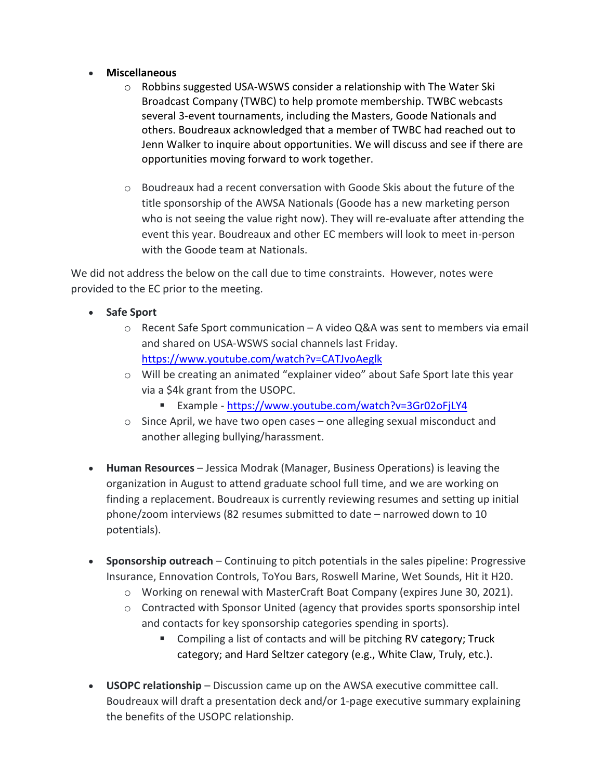### • **Miscellaneous**

- $\circ$  Robbins suggested USA-WSWS consider a relationship with The Water Ski Broadcast Company (TWBC) to help promote membership. TWBC webcasts several 3-event tournaments, including the Masters, Goode Nationals and others. Boudreaux acknowledged that a member of TWBC had reached out to Jenn Walker to inquire about opportunities. We will discuss and see if there are opportunities moving forward to work together.
- $\circ$  Boudreaux had a recent conversation with Goode Skis about the future of the title sponsorship of the AWSA Nationals (Goode has a new marketing person who is not seeing the value right now). They will re-evaluate after attending the event this year. Boudreaux and other EC members will look to meet in-person with the Goode team at Nationals.

We did not address the below on the call due to time constraints. However, notes were provided to the EC prior to the meeting.

- **Safe Sport** 
	- $\circ$  Recent Safe Sport communication A video Q&A was sent to members via email and shared on USA-WSWS social channels last Friday. <https://www.youtube.com/watch?v=CATJvoAeglk>
	- o Will be creating an animated "explainer video" about Safe Sport late this year via a \$4k grant from the USOPC.
		- Example <https://www.youtube.com/watch?v=3Gr02oFjLY4>
	- o Since April, we have two open cases one alleging sexual misconduct and another alleging bullying/harassment.
- **Human Resources** Jessica Modrak (Manager, Business Operations) is leaving the organization in August to attend graduate school full time, and we are working on finding a replacement. Boudreaux is currently reviewing resumes and setting up initial phone/zoom interviews (82 resumes submitted to date – narrowed down to 10 potentials).
- **Sponsorship outreach** Continuing to pitch potentials in the sales pipeline: Progressive Insurance, Ennovation Controls, ToYou Bars, Roswell Marine, Wet Sounds, Hit it H20.
	- o Working on renewal with MasterCraft Boat Company (expires June 30, 2021).
	- $\circ$  Contracted with Sponsor United (agency that provides sports sponsorship intel and contacts for key sponsorship categories spending in sports).
		- **EXTERGOLER** Contacts and will be pitching RV category; Truck category; and Hard Seltzer category (e.g., White Claw, Truly, etc.).
- **USOPC relationship** Discussion came up on the AWSA executive committee call. Boudreaux will draft a presentation deck and/or 1-page executive summary explaining the benefits of the USOPC relationship.